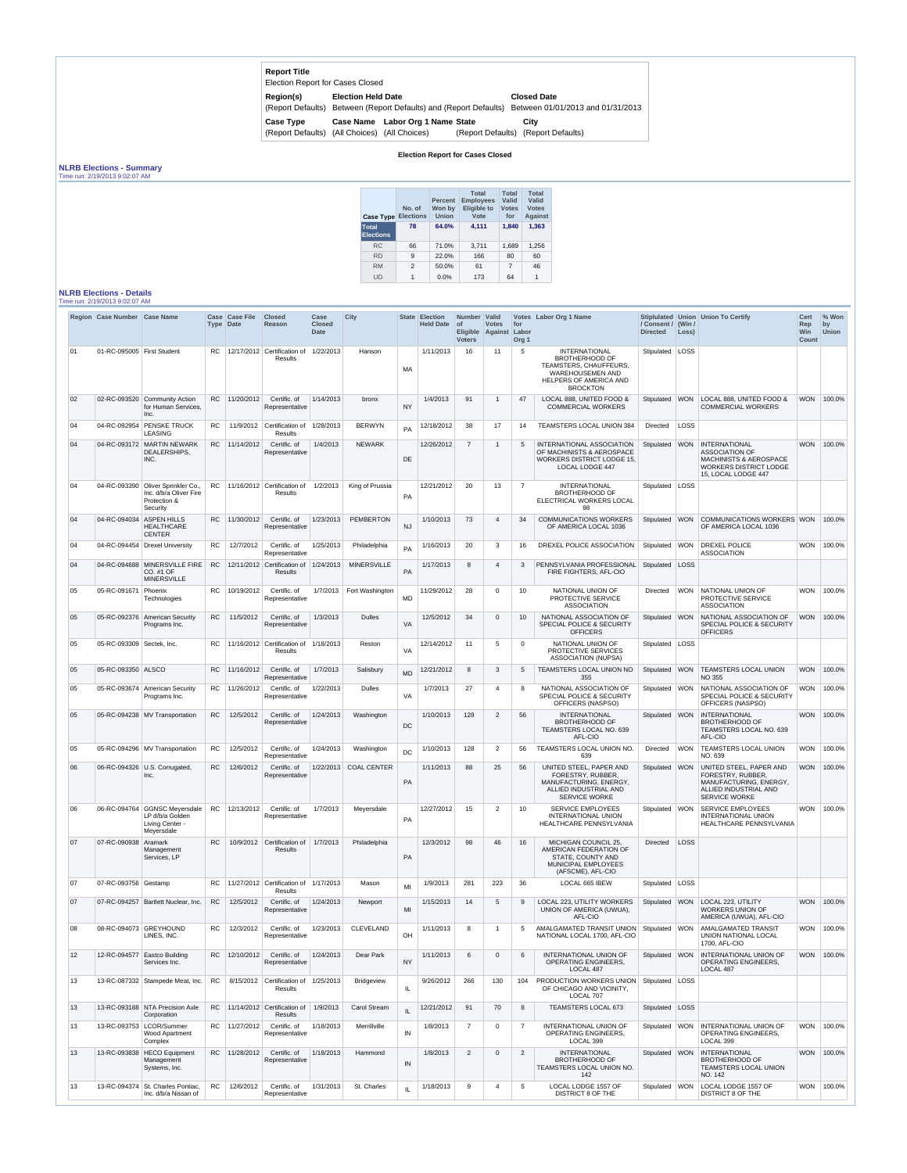| <b>Report Title</b><br><b>Election Report for Cases Closed</b> |                             |                                                 |                                                         |
|----------------------------------------------------------------|-----------------------------|-------------------------------------------------|---------------------------------------------------------|
| Region(s)<br>(Report Defaults)                                 | <b>Election Held Date</b>   | Between (Report Defaults) and (Report Defaults) | <b>Closed Date</b><br>Between 01/01/2013 and 01/31/2013 |
| <b>Case Type</b>                                               |                             | Case Name Labor Org 1 Name State                | City                                                    |
| (Report Defaults)                                              | (All Choices) (All Choices) |                                                 | (Report Defaults) (Report Defaults)                     |

## **Election Report for Cases Closed**

## **NLRB Elections - Summary**

Time run: 2/19/2013 9:02:07 AM

| <b>Case Type</b>                 | No. of<br><b>Elections</b> | <b>Percent</b><br>Won by<br><b>Union</b> | <b>Total</b><br><b>Employees</b><br><b>Eligible to</b><br>Vote | <b>Total</b><br><b>Valid</b><br><b>Votes</b><br>for | <b>Total</b><br>Valid<br><b>Votes</b><br><b>Against</b> |
|----------------------------------|----------------------------|------------------------------------------|----------------------------------------------------------------|-----------------------------------------------------|---------------------------------------------------------|
| <b>Total</b><br><b>Elections</b> | 78                         | 64.0%                                    | 4,111                                                          | 1,840                                               | 1,363                                                   |
| <b>RC</b>                        | 66                         | 71.0%                                    | 3,711                                                          | 1,689                                               | 1,256                                                   |
| <b>RD</b>                        | 9                          | 22.0%                                    | 166                                                            | 80                                                  | 60                                                      |
| <b>RM</b>                        | 2                          | 50.0%                                    | 61                                                             | 7                                                   | 46                                                      |
| UD                               | 1                          | $0.0\%$                                  | 173                                                            | 64                                                  | 1                                                       |

## **NLRB Elections - Details** Time run: 2/19/2013 9:02:07 AM

|    | Region Case Number Case Name |                                                                                          | <b>Case</b> | <b>Case File</b><br>Type Date | <b>Closed</b><br>Reason                          | Case<br><b>Closed</b><br><b>Date</b> | <b>City</b>           |              | <b>State Election</b><br><b>Held Date</b> | Number   Valid<br>$ $ of<br><b>Voters</b> | <b>Votes</b><br>Eligible Against | for<br>Labor<br>Org <sub>1</sub> | Votes Labor Org 1 Name                                                                                                                   | / Consent / (Win /<br><b>Directed</b> | Loss)      | Stiplulated Union Union To Certify                                                                                                         | <b>Cert</b><br>Rep<br>Win<br><b>Count</b> | % Won<br>by<br><b>Union</b> |
|----|------------------------------|------------------------------------------------------------------------------------------|-------------|-------------------------------|--------------------------------------------------|--------------------------------------|-----------------------|--------------|-------------------------------------------|-------------------------------------------|----------------------------------|----------------------------------|------------------------------------------------------------------------------------------------------------------------------------------|---------------------------------------|------------|--------------------------------------------------------------------------------------------------------------------------------------------|-------------------------------------------|-----------------------------|
| 01 | 01-RC-095005   First Student |                                                                                          | RC          |                               | 12/17/2012 Certification of<br>Results           | 1/22/2013                            | Hanson                | MA           | 1/11/2013                                 | 16                                        | 11                               | 5                                | INTERNATIONAL<br><b>BROTHERHOOD OF</b><br>TEAMSTERS, CHAUFFEURS,<br><b>WAREHOUSEMEN AND</b><br>HELPERS OF AMERICA AND<br><b>BROCKTON</b> | Stipulated   LOSS                     |            |                                                                                                                                            |                                           |                             |
| 02 |                              | 02-RC-093520 Community Action<br>for Human Services,<br>Inc.                             | <b>RC</b>   | 11/20/2012                    | Certific. of<br>Representative                   | 1/14/2013                            | bronx                 | <b>NY</b>    | 1/4/2013                                  | 91                                        | $\overline{1}$                   | 47                               | LOCAL 888, UNITED FOOD &<br><b>COMMERCIAL WORKERS</b>                                                                                    | Stipulated WON                        |            | LOCAL 888, UNITED FOOD &<br><b>COMMERCIAL WORKERS</b>                                                                                      | <b>WON</b>                                | 100.0%                      |
| 04 | 04-RC-092954                 | <b>PENSKE TRUCK</b><br><b>LEASING</b>                                                    | RC.         | 11/9/2012                     | Certification of<br>Results                      | 1/28/2013                            | <b>BERWYN</b>         | PA           | 12/18/2012                                | 38                                        | 17                               | 14                               | TEAMSTERS LOCAL UNION 384                                                                                                                | Directed                              | LOSS       |                                                                                                                                            |                                           |                             |
| 04 |                              | 04-RC-093172 MARTIN NEWARK<br>DEALERSHIPS,<br>INC.                                       | <b>RC</b>   | 11/14/2012                    | Certific. of<br>Representative                   | 1/4/2013                             | <b>NEWARK</b>         | DE           | 12/26/2012                                | $\overline{7}$                            | $\overline{1}$                   | 5                                | INTERNATIONAL ASSOCIATION<br>OF MACHINISTS & AEROSPACE<br><b>WORKERS DISTRICT LODGE 15.</b><br>LOCAL LODGE 447                           | Stipulated                            | <b>WON</b> | <b>INTERNATIONAL</b><br><b>ASSOCIATION OF</b><br><b>MACHINISTS &amp; AEROSPACE</b><br><b>WORKERS DISTRICT LODGE</b><br>15, LOCAL LODGE 447 | <b>WON</b>                                | 100.0%                      |
| 04 |                              | 04-RC-093390 Oliver Sprinkler Co.,<br>Inc. d/b/a Oliver Fire<br>Protection &<br>Security | RC.         |                               | $\vert$ 11/16/2012 Certification of<br>Results   | 1/2/2013                             | King of Prussia       | PA           | 12/21/2012                                | 20                                        | 13                               | $\overline{7}$                   | <b>INTERNATIONAL</b><br><b>BROTHERHOOD OF</b><br>ELECTRICAL WORKERS LOCAL<br>98                                                          | Stipulated LOSS                       |            |                                                                                                                                            |                                           |                             |
| 04 | 04-RC-094034                 | <b>ASPEN HILLS</b><br><b>HEALTHCARE</b><br><b>CENTER</b>                                 | RC.         | 11/30/2012                    | Certific. of<br>Representative                   | 1/23/2013                            | PEMBERTON             | <b>NJ</b>    | 1/10/2013                                 | 73                                        | $\overline{4}$                   | 34                               | <b>COMMUNICATIONS WORKERS</b><br>OF AMERICA LOCAL 1036                                                                                   | Stipulated WON                        |            | COMMUNICATIONS WORKERS WON<br>OF AMERICA LOCAL 1036                                                                                        |                                           | 100.0%                      |
| 04 |                              | 04-RC-094454 Drexel University                                                           | RC.         | 12/7/2012                     | Certific. of<br>Representative                   | 1/25/2013                            | Philadelphia          | PA           | 1/16/2013                                 | 20                                        | 3                                | 16                               | DREXEL POLICE ASSOCIATION                                                                                                                | Stipulated WON                        |            | DREXEL POLICE<br><b>ASSOCIATION</b>                                                                                                        | <b>WON</b>                                | 100.0%                      |
| 04 |                              | 04-RC-094688 MINERSVILLE FIRE<br>CO. #1 OF<br><b>MINERSVILLE</b>                         | <b>RC</b>   |                               | 12/11/2012 Certification of<br>Results           | 1/24/2013                            | <b>MINERSVILLE</b>    | PA           | 1/17/2013                                 | 8                                         | $\overline{4}$                   | 3                                | PENNSYLVANIA PROFESSIONAL<br>FIRE FIGHTERS, AFL-CIO                                                                                      | Stipulated   LOSS                     |            |                                                                                                                                            |                                           |                             |
| 05 | 05-RC-091671 Phoenix         | Technologies                                                                             | RC.         | 10/19/2012                    | Certific. of<br>Representative                   | 1/7/2013                             | Fort Washington       | MD           | 11/29/2012                                | 28                                        | $\overline{0}$                   | 10                               | NATIONAL UNION OF<br>PROTECTIVE SERVICE<br><b>ASSOCIATION</b>                                                                            | Directed                              |            | WON NATIONAL UNION OF<br>PROTECTIVE SERVICE<br><b>ASSOCIATION</b>                                                                          | <b>WON</b>                                | 100.0%                      |
| 05 |                              | 05-RC-092376 American Security<br>Programs Inc.                                          | RC.         | 11/5/2012                     | Certific. of<br>Representative                   | 1/3/2013                             | <b>Dulles</b>         | VA           | 12/5/2012                                 | 34                                        | $\overline{0}$                   | 10                               | NATIONAL ASSOCIATION OF<br>SPECIAL POLICE & SECURITY<br><b>OFFICERS</b>                                                                  | Stipulated WON                        |            | NATIONAL ASSOCIATION OF<br>SPECIAL POLICE & SECURITY<br><b>OFFICERS</b>                                                                    | <b>WON</b>                                | 100.0%                      |
| 05 | 05-RC-093309 Sectek, Inc.    |                                                                                          | RC.         |                               | $11/16/2012$ Certification of<br>Results         | 1/18/2013                            | Reston                | VA           | 12/14/2012                                | 11                                        | 5                                | $\mathbf 0$                      | NATIONAL UNION OF<br>PROTECTIVE SERVICES<br><b>ASSOCIATION (NUPSA)</b>                                                                   | Stipulated   LOSS                     |            |                                                                                                                                            |                                           |                             |
| 05 | 05-RC-093350 ALSCO           |                                                                                          | RC.         | 11/16/2012                    | Certific. of<br>Representative                   | 1/7/2013                             | Salisbury             | <b>MD</b>    | 12/21/2012                                | 8                                         | -3                               | 5                                | TEAMSTERS LOCAL UNION NO<br>355                                                                                                          | Stipulated WON                        |            | <b>TEAMSTERS LOCAL UNION</b><br>NO 355                                                                                                     | <b>WON</b>                                | 100.0%                      |
| 05 |                              | 05-RC-093674 American Security<br>Programs Inc.                                          | RC.         | 11/26/2012                    | Certific. of<br>Representative                   | 1/22/2013                            | <b>Dulles</b>         | VA           | 1/7/2013                                  | 27                                        | $\overline{4}$                   | 8                                | NATIONAL ASSOCIATION OF<br>SPECIAL POLICE & SECURITY<br>OFFICERS (NASPSO)                                                                | Stipulated   WON                      |            | NATIONAL ASSOCIATION OF<br>SPECIAL POLICE & SECURITY<br>OFFICERS (NASPSO)                                                                  | <b>WON</b>                                | 100.0%                      |
| 05 |                              | 05-RC-094238 MV Transportation                                                           | RC.         | 12/5/2012                     | Certific, of<br>Representative                   | 1/24/2013                            | Washington            | DC           | 1/10/2013                                 | 128                                       | 2                                | 56                               | <b>INTERNATIONAL</b><br><b>BROTHERHOOD OF</b><br>TEAMSTERS LOCAL NO. 639<br>AFL-CIO                                                      | Stipulated WON                        |            | <b>INTERNATIONAL</b><br><b>BROTHERHOOD OF</b><br>TEAMSTERS LOCAL NO. 639<br>AFL-CIO                                                        | <b>WON</b>                                | 100.0%                      |
| 05 |                              | 05-RC-094296 MV Transportation                                                           | <b>RC</b>   | 12/5/2012                     | Certific. of<br>Representative                   | 1/24/2013                            | Washington            | <b>DC</b>    | 1/10/2013                                 | 128                                       | 2                                | 56                               | TEAMSTERS LOCAL UNION NO.<br>639                                                                                                         | Directed                              | <b>WON</b> | <b>TEAMSTERS LOCAL UNION</b><br>NO. 639                                                                                                    | <b>WON</b>                                | 100.0%                      |
| 06 |                              | 06-RC-094326 U.S. Corrugated,<br>Inc.                                                    | <b>RC</b>   | 12/6/2012                     | Certific. of<br>Representative                   |                                      | 1/22/2013 COAL CENTER | PA           | 1/11/2013                                 | 88                                        | 25                               | 56                               | UNITED STEEL, PAPER AND<br>FORESTRY, RUBBER,<br>MANUFACTURING, ENERGY,<br>ALLIED INDUSTRIAL AND<br><b>SERVICE WORKE</b>                  | Stipulated WON                        |            | <b>UNITED STEEL, PAPER AND</b><br><b>FORESTRY, RUBBER,</b><br>MANUFACTURING, ENERGY,<br>ALLIED INDUSTRIAL AND<br><b>SERVICE WORKE</b>      | <b>WON</b>                                | 100.0%                      |
| 06 | 06-RC-094764                 | GGNSC Meyersdale<br>LP d/b/a Golden<br>Living Center -<br>Meyersdale                     | <b>RC</b>   | 12/13/2012                    | Certific. of<br>Representative                   | 1/7/2013                             | Meyersdale            | PA           | 12/27/2012                                | 15                                        | 2                                | 10                               | <b>SERVICE EMPLOYEES</b><br><b>INTERNATIONAL UNION</b><br>HEALTHCARE PENNSYLVANIA                                                        | Stipulated   WON                      |            | <b>SERVICE EMPLOYEES</b><br><b>INTERNATIONAL UNION</b><br>HEALTHCARE PENNSYLVANIA                                                          |                                           | WON 100.0%                  |
| 07 | 07-RC-090938                 | Aramark<br>Management<br>Services, LP                                                    | <b>RC</b>   | 10/9/2012                     | Certification of<br>Results                      | 1/7/2013                             | Philadelphia          | PA           | 12/3/2012                                 | 98                                        | 46                               | 16                               | MICHIGAN COUNCIL 25,<br>AMERICAN FEDERATION OF<br>STATE, COUNTY AND<br>MUNICIPAL EMPLOYEES<br>(AFSCME), AFL-CIO                          | <b>Directed</b>                       | LOSS       |                                                                                                                                            |                                           |                             |
| 07 | 07-RC-093756 Gestamp         |                                                                                          | RC.         |                               | 11/27/2012 Certification of<br>Results           | 1/17/2013                            | Mason                 | MI           | 1/9/2013                                  | 281                                       | 223                              | 36                               | LOCAL 665 IBEW                                                                                                                           | Stipulated LOSS                       |            |                                                                                                                                            |                                           |                             |
| 07 |                              | 07-RC-094257   Bartlett Nuclear, Inc.                                                    | <b>RC</b>   | 12/5/2012                     | Certific. of<br>Representative                   | 1/24/2013                            | Newport               | MI           | 1/15/2013                                 | 14                                        | 5                                | 9                                | LOCAL 223, UTILITY WORKERS<br>UNION OF AMERICA (UWUA),<br>AFL-CIO                                                                        |                                       |            | Stipulated   WON   LOCAL 223, UTILITY<br><b>WORKERS UNION OF</b><br>AMERICA (UWUA), AFL-CIO                                                | <b>WON</b>                                | 100.0%                      |
| 08 |                              | 08-RC-094073 GREYHOUND<br>LINES, INC.                                                    | RC          | 12/3/2012                     | Certific. of<br>Representative                   | 1/23/2013                            | CLEVELAND             | OH           | 1/11/2013                                 | 8                                         | $\overline{1}$                   | 5                                | AMALGAMATED TRANSIT UNION<br>NATIONAL LOCAL 1700, AFL-CIO                                                                                | Stipulated WON                        |            | <b>AMALGAMATED TRANSIT</b><br><b>UNION NATIONAL LOCAL</b><br>1700, AFL-CIO                                                                 | <b>WON</b>                                | 100.0%                      |
| 12 |                              | 12-RC-094577 Eastco Building<br>Services Inc.                                            | RC.         | 12/10/2012                    | Certific. of<br>Representative                   | 1/24/2013                            | Dear Park             | <b>NY</b>    | 1/11/2013                                 | 6                                         | $\overline{0}$                   | 6                                | INTERNATIONAL UNION OF<br><b>OPERATING ENGINEERS.</b><br>LOCAL 487                                                                       | Stipulated WON                        |            | <b>INTERNATIONAL UNION OF</b><br>OPERATING ENGINEERS,<br>LOCAL 487                                                                         | <b>WON</b>                                | 100.0%                      |
| 13 |                              | 13-RC-087332 Stampede Meat, Inc.                                                         | <b>RC</b>   |                               | 8/15/2012 Certification of<br>Results            | 1/25/2013                            | <b>Bridgeview</b>     | IL.          | 9/26/2012                                 | 266                                       | 130                              | 104                              | <b>PRODUCTION WORKERS UNION</b><br>OF CHICAGO AND VICINITY.<br>LOCAL 707                                                                 | Stipulated   LOSS                     |            |                                                                                                                                            |                                           |                             |
| 13 |                              | 13-RC-093188 NTA Precision Axle<br>Corporation                                           | RC.         |                               | 11/14/2012 Certification of<br>Results           | 1/9/2013                             | <b>Carol Stream</b>   | $\mathbf{H}$ | 12/21/2012                                | 91                                        | 70                               | 8                                | TEAMSTERS LOCAL 673                                                                                                                      | Stipulated   LOSS                     |            |                                                                                                                                            |                                           |                             |
| 13 |                              | 13-RC-093753   LCOR/Summer<br><b>Wood Apartment</b><br>Complex                           |             |                               | RC   11/27/2012   Certific. of<br>Representative | 1/18/2013                            | Merrillville          | IN           | 1/8/2013                                  |                                           | $\mathbf{0}$                     |                                  | INTERNATIONAL UNION OF<br><b>OPERATING ENGINEERS,</b><br>LOCAL 399                                                                       |                                       |            | Stipulated WON INTERNATIONAL UNION OF<br><b>OPERATING ENGINEERS,</b><br>LOCAL 399                                                          |                                           | WON 100.0%                  |
| 13 |                              | 13-RC-093838 HECO Equipment<br>Management<br>Systems, Inc.                               |             | RC 11/28/2012                 | Certific. of<br>Representative                   | 1/18/2013                            | Hammond               | IN           | 1/8/2013                                  | 2                                         | $\overline{0}$                   | 2                                | <b>INTERNATIONAL</b><br><b>BROTHERHOOD OF</b><br>TEAMSTERS LOCAL UNION NO.<br>142                                                        | Stipulated WON                        |            | <b>INTERNATIONAL</b><br><b>BROTHERHOOD OF</b><br>TEAMSTERS LOCAL UNION<br>NO. 142                                                          |                                           | WON 100.0%                  |
| 13 |                              | 13-RC-094374 St. Charles Pontiac,<br>Inc. d/b/a Nissan of                                | <b>RC</b>   | 12/6/2012                     | Certific. of<br>Representative                   | 1/31/2013                            | St. Charles           |              | 1/18/2013                                 | 9                                         | $\boldsymbol{\Delta}$            | 5                                | LOCAL LODGE 1557 OF<br><b>DISTRICT 8 OF THE</b>                                                                                          | Stipulated WON                        |            | LOCAL LODGE 1557 OF<br><b>DISTRICT 8 OF THE</b>                                                                                            |                                           | WON 100.0%                  |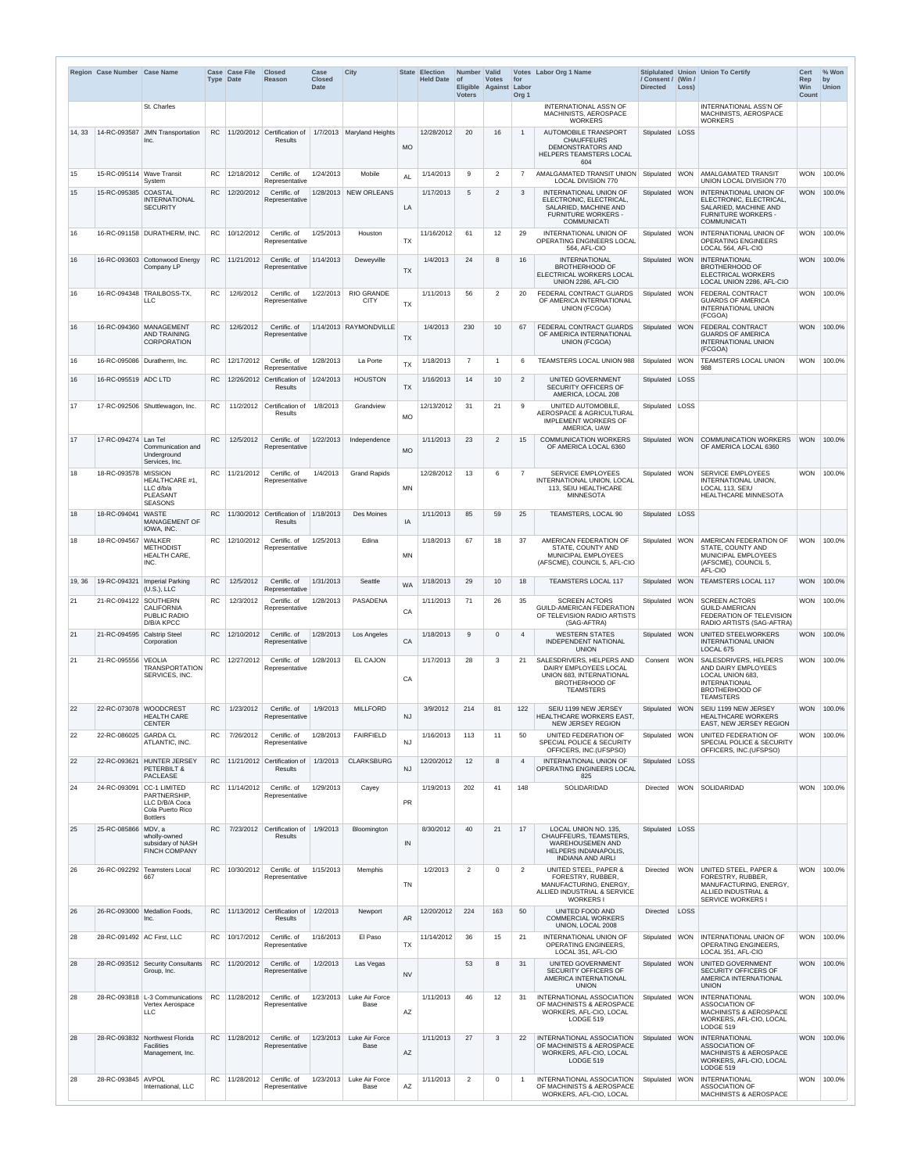|        | Region Case Number Case Name |                                                                                                    | <b>Type Date</b> | Case Case File | <b>Closed</b><br>Reason                       | Case<br><b>Closed</b><br><b>Date</b> | <b>City</b>                      |           | State Election<br>Held Date of | Number Valid<br><b>Voters</b> | <b>Votes</b><br>Eligible Against | for<br>Labor<br>Org <sub>1</sub> | Votes Labor Org 1 Name                                                                                                                     | / Consent / (Win /<br><b>Directed</b> | Loss)      | Stiplulated Union Union To Certify                                                                                                           | Cert<br>Rep<br><b>Win</b><br>Count | % Won<br>by<br><b>Union</b> |
|--------|------------------------------|----------------------------------------------------------------------------------------------------|------------------|----------------|-----------------------------------------------|--------------------------------------|----------------------------------|-----------|--------------------------------|-------------------------------|----------------------------------|----------------------------------|--------------------------------------------------------------------------------------------------------------------------------------------|---------------------------------------|------------|----------------------------------------------------------------------------------------------------------------------------------------------|------------------------------------|-----------------------------|
|        |                              | St. Charles                                                                                        |                  |                |                                               |                                      |                                  |           |                                |                               |                                  |                                  | <b>INTERNATIONAL ASS'N OF</b><br>MACHINISTS, AEROSPACE<br><b>WORKERS</b>                                                                   |                                       |            | <b>INTERNATIONAL ASS'N OF</b><br>MACHINISTS, AEROSPACE<br><b>WORKERS</b>                                                                     |                                    |                             |
| 14, 33 |                              | 14-RC-093587 JMN Transportation<br>Inc.                                                            | <b>RC</b>        |                | 11/20/2012 Certification of<br><b>Results</b> |                                      | 1/7/2013   Maryland Heights      | <b>MO</b> | 12/28/2012                     | 20                            | 16                               | $\overline{1}$                   | <b>AUTOMOBILE TRANSPORT</b><br><b>CHAUFFEURS</b><br><b>DEMONSTRATORS AND</b><br>HELPERS TEAMSTERS LOCAL                                    | Stipulated   LOSS                     |            |                                                                                                                                              |                                    |                             |
| 15     | 15-RC-095114 Wave Transit    | System                                                                                             | RC               | 12/18/2012     | Certific. of<br>Representative                | 1/24/2013                            | Mobile                           | <b>AL</b> | 1/14/2013                      | 9                             | 2                                | 7                                | 604<br>AMALGAMATED TRANSIT UNION Stipulated WON<br><b>LOCAL DIVISION 770</b>                                                               |                                       |            | <b>AMALGAMATED TRANSIT</b><br>UNION LOCAL DIVISION 770                                                                                       |                                    | WON 100.0%                  |
| 15     | 15-RC-095385 COASTAL         | <b>INTERNATIONAL</b><br><b>SECURITY</b>                                                            | RC               | 12/20/2012     | Certific, of<br>Representative                |                                      | 1/28/2013 NEW ORLEANS            | LA        | 1/17/2013                      | 5                             | $\overline{2}$                   | 3                                | <b>INTERNATIONAL UNION OF</b><br>ELECTRONIC, ELECTRICAL,<br>SALARIED, MACHINE AND<br><b>FURNITURE WORKERS -</b><br><b>COMMUNICATI</b>      | Stipulated WON                        |            | INTERNATIONAL UNION OF<br>ELECTRONIC, ELECTRICAL,<br>SALARIED, MACHINE AND<br><b>FURNITURE WORKERS -</b><br><b>COMMUNICATI</b>               | <b>WON</b>                         | 100.0%                      |
| 16     |                              | 16-RC-091158 DURATHERM. INC.                                                                       | RC.              | 10/12/2012     | Certific. of<br>Representative                | 1/25/2013                            | Houston                          | <b>TX</b> | 11/16/2012                     | 61                            | 12                               | 29                               | <b>INTERNATIONAL UNION OF</b><br>OPERATING ENGINEERS LOCAL<br>564. AFL-CIO                                                                 | Stipulated   WON                      |            | <b>INTERNATIONAL UNION OF</b><br><b>OPERATING ENGINEERS</b><br>LOCAL 564, AFL-CIO                                                            |                                    | WON 100.0%                  |
| 16     |                              | 16-RC-093603 Cottonwood Energy<br>Company LP                                                       | <b>RC</b>        | 11/21/2012     | Certific. of<br>Representative                | 1/14/2013                            | Deweyville                       | <b>TX</b> | 1/4/2013                       | 24                            | 8                                | 16                               | <b>INTERNATIONAL</b><br><b>BROTHERHOOD OF</b><br>ELECTRICAL WORKERS LOCAL<br>UNION 2286, AFL-CIO                                           | Stipulated WON                        |            | <b>INTERNATIONAL</b><br><b>BROTHERHOOD OF</b><br><b>ELECTRICAL WORKERS</b><br>LOCAL UNION 2286, AFL-CIO                                      | <b>WON</b>                         | 100.0%                      |
| 16     |                              | 16-RC-094348 TRAILBOSS-TX,<br><b>LLC</b>                                                           | RC               | 12/6/2012      | Certific. of<br>Representative                | 1/22/2013                            | <b>RIO GRANDE</b><br><b>CITY</b> | <b>TX</b> | 1/11/2013                      | 56                            | 2                                | 20                               | FEDERAL CONTRACT GUARDS<br>OF AMERICA INTERNATIONAL<br><b>UNION (FCGOA)</b>                                                                | Stipulated   WON                      |            | <b>FEDERAL CONTRACT</b><br><b>GUARDS OF AMERICA</b><br>INTERNATIONAL UNION                                                                   |                                    | WON 100.0%                  |
| 16     |                              | 16-RC-094360 MANAGEMENT<br><b>AND TRAINING</b><br><b>CORPORATION</b>                               | <b>RC</b>        | 12/6/2012      | Certific. of<br>Representative                |                                      | 1/14/2013 RAYMONDVILLE           | <b>TX</b> | 1/4/2013                       | 230                           | 10 <sup>°</sup>                  | 67                               | FEDERAL CONTRACT GUARDS<br>OF AMERICA INTERNATIONAL<br><b>UNION (FCGOA)</b>                                                                | Stipulated WON                        |            | (FCGOA)<br><b>FEDERAL CONTRACT</b><br><b>GUARDS OF AMERICA</b><br>INTERNATIONAL UNION<br>(FCGOA)                                             | <b>WON</b>                         | 100.0%                      |
| 16     |                              | 16-RC-095086 Duratherm, Inc.                                                                       | <b>RC</b>        | 12/17/2012     | Certific. of<br>Representative                | 1/28/2013                            | La Porte                         | <b>TX</b> | 1/18/2013                      | $\overline{7}$                | $\overline{\mathbf{1}}$          | 6                                | TEAMSTERS LOCAL UNION 988                                                                                                                  | Stipulated   WON                      |            | <b>TEAMSTERS LOCAL UNION</b><br>988                                                                                                          |                                    | WON   100.0%                |
| 16     | 16-RC-095519 ADC LTD         |                                                                                                    | <b>RC</b>        |                | 12/26/2012 Certification of<br>Results        | 1/24/2013                            | <b>HOUSTON</b>                   | <b>TX</b> | 1/16/2013                      | 14                            | 10                               | $\overline{2}$                   | UNITED GOVERNMENT<br><b>SECURITY OFFICERS OF</b><br>AMERICA, LOCAL 208                                                                     | Stipulated LOSS                       |            |                                                                                                                                              |                                    |                             |
| 17     |                              | 17-RC-092506 Shuttlewagon, Inc.                                                                    | RC               |                | 11/2/2012 Certification of<br>Results         | 1/8/2013                             | Grandview                        | MO        | 12/13/2012                     | 31                            | 21                               | 9                                | UNITED AUTOMOBILE.<br>AEROSPACE & AGRICULTURAL<br><b>IMPLEMENT WORKERS OF</b><br>AMERICA, UAW                                              | Stipulated   LOSS                     |            |                                                                                                                                              |                                    |                             |
| 17     | 17-RC-094274 Lan Tel         | Communication and<br>Underground<br>Services, Inc.                                                 | <b>RC</b>        | 12/5/2012      | Certific. of<br>Representative                | 1/22/2013                            | Independence                     | <b>MO</b> | 1/11/2013                      | 23                            | 2                                | 15                               | <b>COMMUNICATION WORKERS</b><br>OF AMERICA LOCAL 6360                                                                                      | Stipulated                            | <b>WON</b> | COMMUNICATION WORKERS<br>OF AMERICA LOCAL 6360                                                                                               | <b>WON</b>                         | 100.0%                      |
| 18     | 18-RC-093578 MISSION         | <b>HEALTHCARE #1,</b><br>LLC d/b/a<br><b>PLEASANT</b><br><b>SEASONS</b>                            | <b>RC</b>        | 11/21/2012     | Certific. of<br>Representative                | 1/4/2013                             | <b>Grand Rapids</b>              | <b>MN</b> | 12/28/2012                     | 13                            | 6                                | $\overline{7}$                   | <b>SERVICE EMPLOYEES</b><br>INTERNATIONAL UNION, LOCAL<br>113, SEIU HEALTHCARE<br><b>MINNESOTA</b>                                         | Stipulated   WON                      |            | <b>SERVICE EMPLOYEES</b><br>INTERNATIONAL UNION,<br>LOCAL 113, SEIU<br><b>HEALTHCARE MINNESOTA</b>                                           |                                    | WON 100.0%                  |
| 18     | 18-RC-094041 WASTE           | <b>MANAGEMENT OF</b><br>IOWA, INC.                                                                 | RC.              |                | 11/30/2012 Certification of<br><b>Results</b> | 1/18/2013                            | Des Moines                       | IA        | 1/11/2013                      | 85                            | 59                               | 25                               | <b>TEAMSTERS, LOCAL 90</b>                                                                                                                 | Stipulated   LOSS                     |            |                                                                                                                                              |                                    |                             |
| 18     | 18-RC-094567 WALKER          | <b>METHODIST</b><br><b>HEALTH CARE,</b><br>INC.                                                    | RC               | 12/10/2012     | Certific. of<br>Representative                | 1/25/2013                            | Edina                            | <b>MN</b> | 1/18/2013                      | 67                            | 18                               | 37                               | AMERICAN FEDERATION OF<br>STATE, COUNTY AND<br>MUNICIPAL EMPLOYEES<br>(AFSCME), COUNCIL 5, AFL-CIO                                         | Stipulated   WON                      |            | AMERICAN FEDERATION OF<br><b>STATE, COUNTY AND</b><br>MUNICIPAL EMPLOYEES<br>(AFSCME), COUNCIL 5,<br>AFL-CIO                                 | <b>WON</b>                         | 100.0%                      |
| 19, 36 |                              | 19-RC-094321   Imperial Parking<br>(U.S.), LLC                                                     | <b>RC</b>        | 12/5/2012      | Certific. of<br>Representative                | 1/31/2013                            | Seattle                          | <b>WA</b> | 1/18/2013                      | 29                            | 10 <sup>°</sup>                  | 18                               | <b>TEAMSTERS LOCAL 117</b>                                                                                                                 | Stipulated   WON                      |            | <b>TEAMSTERS LOCAL 117</b>                                                                                                                   | <b>WON</b>                         | 100.0%                      |
| 21     | 21-RC-094122 SOUTHERN        | <b>CALIFORNIA</b><br>PUBLIC RADIO<br>D/B/A KPCC                                                    | RC.              | 12/3/2012      | Certific, of<br>Representative                | 1/28/2013                            | <b>PASADENA</b>                  | CA        | 1/11/2013                      | 71                            | 26                               | 35                               | <b>SCREEN ACTORS</b><br><b>GUILD-AMERICAN FEDERATION</b><br>OF TELEVISION RADIO ARTISTS<br>(SAG-AFTRA)                                     | Stipulated   WON                      |            | <b>SCREEN ACTORS</b><br><b>GUILD-AMERICAN</b><br>FEDERATION OF TELEVISION<br>RADIO ARTISTS (SAG-AFTRA)                                       |                                    | WON 100.0%                  |
| 21     | 21-RC-094595 Calstrip Steel  | Corporation                                                                                        | RC.              | 12/10/2012     | Certific. of<br>Representative                | 1/28/2013                            | Los Angeles                      | CA        | 1/18/2013                      | 9                             | $\Omega$                         | $\overline{4}$                   | <b>WESTERN STATES</b><br><b>INDEPENDENT NATIONAL</b><br><b>UNION</b>                                                                       | Stipulated WON                        |            | UNITED STEELWORKERS<br><b>INTERNATIONAL UNION</b><br>LOCAL 675                                                                               | <b>WON</b>                         | 100.0%                      |
| 21     | 21-RC-095556 VEOLIA          | <b>TRANSPORTATION</b><br>SERVICES, INC.                                                            | RC.              | 12/27/2012     | Certific. of<br>Representative                | 1/28/2013                            | <b>EL CAJON</b>                  | CA        | 1/17/2013                      | 28                            | 3                                | 21                               | SALESDRIVERS, HELPERS AND<br>DAIRY EMPLOYEES LOCAL<br>UNION 683, INTERNATIONAL<br><b>BROTHERHOOD OF</b><br><b>TEAMSTERS</b>                | Consent                               | <b>WON</b> | <b>SALESDRIVERS, HELPERS</b><br>AND DAIRY EMPLOYEES<br>LOCAL UNION 683,<br><b>INTERNATIONAL</b><br><b>BROTHERHOOD OF</b><br><b>TEAMSTERS</b> | <b>WON</b>                         | 100.0%                      |
| 22     |                              | 22-RC-073078 WOODCREST<br><b>HEALTH CARE</b>                                                       | <b>RC</b>        | 1/23/2012      | Certific. of<br>Representative                | 1/9/2013                             | <b>MILLFORD</b>                  | <b>NJ</b> | 3/9/2012                       | 214                           | 81                               | 122                              | SEIU 1199 NEW JERSEY<br>HEALTHCARE WORKERS EAST.                                                                                           | Stipulated WON                        |            | SEIU 1199 NEW JERSEY<br><b>HEALTHCARE WORKERS</b>                                                                                            | <b>WON</b>                         | 100.0%                      |
| 22     | 22-RC-086025 GARDA CL        | <b>CENTER</b><br>ATLANTIC, INC.                                                                    | RC               | 7/26/2012      | Certific. of<br>Representative                | 1/28/2013                            | <b>FAIRFIELD</b>                 | <b>NJ</b> | 1/16/2013                      | 113                           | 11                               | 50                               | <b>NEW JERSEY REGION</b><br>UNITED FEDERATION OF<br>SPECIAL POLICE & SECURITY<br>OFFICERS, INC. (UFSPSO)                                   | Stipulated   WON                      |            | <b>EAST, NEW JERSEY REGION</b><br>UNITED FEDERATION OF<br><b>SPECIAL POLICE &amp; SECURITY</b><br>OFFICERS, INC.(UFSPSO)                     |                                    | WON   100.0%                |
| 22     |                              | 22-RC-093621 HUNTER JERSEY<br>PETERBILT &<br>PACLEASE                                              | RC               |                | 11/21/2012 Certification of<br><b>Results</b> | 1/3/2013                             | <b>CLARKSBURG</b>                | <b>NJ</b> | 12/20/2012                     | 12                            | 8                                | $\overline{4}$                   | <b>INTERNATIONAL UNION OF</b><br>OPERATING ENGINEERS LOCAL<br>825                                                                          | Stipulated LOSS                       |            |                                                                                                                                              |                                    |                             |
| 24     |                              | 24-RC-093091 CC-1 LIMITED<br>PARTNERSHIP.<br>LLC D/B/A Coca<br>Cola Puerto Rico<br><b>Bottlers</b> | RC.              | 11/14/2012     | Certific. of<br>Representative                | 1/29/2013                            | Cayey                            | <b>PR</b> | 1/19/2013                      | 202                           | 41                               | 148                              | SOLIDARIDAD                                                                                                                                | Directed                              |            | WON SOLIDARIDAD                                                                                                                              |                                    | WON 100.0%                  |
| 25     | 25-RC-085866 MDV, a          | wholly-owned<br>subsidary of NASH<br>FINCH COMPANY                                                 | <b>RC</b>        |                | 7/23/2012 Certification of<br><b>Results</b>  | 1/9/2013                             | Bloomington                      | IN        | 8/30/2012                      | 40                            | 21                               | 17                               | LOCAL UNION NO. 135,<br>CHAUFFEURS, TEAMSTERS,<br><b>WAREHOUSEMEN AND</b><br><b>HELPERS INDIANAPOLIS.</b>                                  | Stipulated LOSS                       |            |                                                                                                                                              |                                    |                             |
| 26     |                              | 26-RC-092292 Teamsters Local<br>667                                                                |                  | RC 10/30/2012  | Certific. of<br>Representative                | 1/15/2013                            | Memphis                          | <b>TN</b> | 1/2/2013                       | 2                             | $\overline{0}$                   | $\overline{2}$                   | <b>INDIANA AND AIRLI</b><br><b>UNITED STEEL, PAPER &amp;</b><br>FORESTRY, RUBBER,<br>MANUFACTURING, ENERGY,<br>ALLIED INDUSTRIAL & SERVICE | Directed                              | <b>WON</b> | UNITED STEEL, PAPER &<br><b>FORESTRY, RUBBER,</b><br>MANUFACTURING, ENERGY,<br>ALLIED INDUSTRIAL &                                           |                                    | WON 100.0%                  |
| 26     |                              | 26-RC-093000 Medallion Foods,<br>Inc.                                                              | RC               |                | $11/13/2012$ Certification of<br>Results      | 1/2/2013                             | Newport                          | <b>AR</b> | 12/20/2012                     | 224                           | 163                              | 50                               | <b>WORKERS I</b><br>UNITED FOOD AND<br><b>COMMERCIAL WORKERS</b>                                                                           | Directed                              | LOSS       | <b>SERVICE WORKERS I</b>                                                                                                                     |                                    |                             |
| 28     | 28-RC-091492   AC First, LLC |                                                                                                    | RC.              | 10/17/2012     | Certific. of<br>Representative                | 1/16/2013                            | El Paso                          | <b>TX</b> | 11/14/2012                     | 36                            | 15                               | 21                               | UNION, LOCAL 2008<br><b>INTERNATIONAL UNION OF</b><br><b>OPERATING ENGINEERS.</b><br>LOCAL 351, AFL-CIO                                    | Stipulated   WON                      |            | <b>INTERNATIONAL UNION OF</b><br><b>OPERATING ENGINEERS.</b><br>LOCAL 351, AFL-CIO                                                           |                                    | WON 100.0%                  |
| 28     |                              | 28-RC-093512 Security Consultants<br>Group, Inc.                                                   | <b>RC</b>        | 11/20/2012     | Certific. of<br>Representative                | 1/2/2013                             | Las Vegas                        | <b>NV</b> |                                | 53                            | 8                                | 31                               | <b>UNITED GOVERNMENT</b><br><b>SECURITY OFFICERS OF</b><br>AMERICA INTERNATIONAL                                                           | Stipulated WON                        |            | UNITED GOVERNMENT<br><b>SECURITY OFFICERS OF</b><br>AMERICA INTERNATIONAL                                                                    |                                    | WON 100.0%                  |
| 28     |                              | 28-RC-093818 L-3 Communications<br><b>Vertex Aerospace</b><br><b>LLC</b>                           | <b>RC</b>        | 11/28/2012     | Certific. of<br>Representative                | 1/23/2013                            | Luke Air Force<br>Base           | AZ        | 1/11/2013                      | 46                            | 12                               | 31                               | <b>UNION</b><br>INTERNATIONAL ASSOCIATION<br>OF MACHINISTS & AEROSPACE<br>WORKERS, AFL-CIO, LOCAL<br>LODGE 519                             | Stipulated   WON                      |            | <b>UNION</b><br><b>INTERNATIONAL</b><br>ASSOCIATION OF<br><b>MACHINISTS &amp; AEROSPACE</b><br>WORKERS, AFL-CIO, LOCAL                       |                                    | WON 100.0%                  |
| 28     |                              | 28-RC-093832 Northwest Florida<br>Facilities<br>Management, Inc.                                   | RC               | 11/28/2012     | Certific. of<br>Representative                | 1/23/2013                            | Luke Air Force<br><b>Base</b>    | AZ        | 1/11/2013                      | 27                            | 3                                | 22                               | INTERNATIONAL ASSOCIATION<br>OF MACHINISTS & AEROSPACE<br>WORKERS, AFL-CIO, LOCAL<br>LODGE 519                                             | Stipulated WON                        |            | LODGE 519<br><b>INTERNATIONAL</b><br><b>ASSOCIATION OF</b><br><b>MACHINISTS &amp; AEROSPACE</b><br>WORKERS, AFL-CIO, LOCAL                   | <b>WON</b>                         | 100.0%                      |
| 28     | 28-RC-093845 AVPOL           | International, LLC                                                                                 | RC               | 11/28/2012     | Certific. of<br>Representative                |                                      | 1/23/2013 Luke Air Force<br>Base | AZ        | 1/11/2013                      | 2                             | $\overline{0}$                   |                                  | INTERNATIONAL ASSOCIATION<br>OF MACHINISTS & AEROSPACE<br>WORKERS, AFL-CIO, LOCAL                                                          | Stipulated   WON                      |            | LODGE 519<br><b>INTERNATIONAL</b><br><b>ASSOCIATION OF</b><br><b>MACHINISTS &amp; AEROSPACE</b>                                              |                                    | WON 100.0%                  |